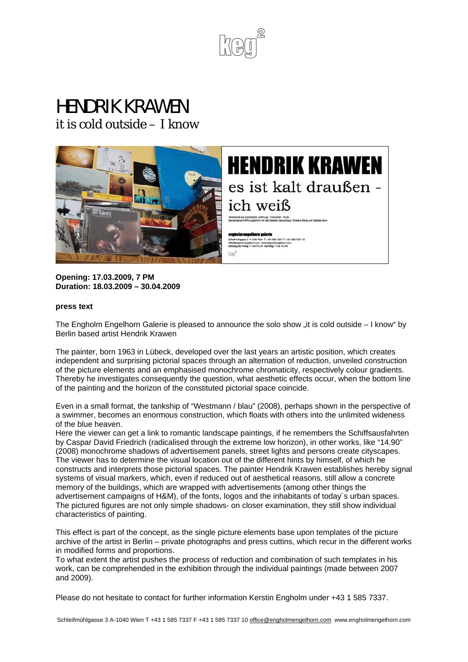

# HENDRIK KRAWEN

it is cold outside – I know





**Opening: 17.03.2009, 7 PM Duration: 18.03.2009 – 30.04.2009** 

#### **press text**

The Engholm Engelhorn Galerie is pleased to announce the solo show "it is cold outside – I know" by Berlin based artist Hendrik Krawen

**Braz** 

The painter, born 1963 in Lübeck, developed over the last years an artistic position, which creates independent and surprising pictorial spaces through an alternation of reduction, unveiled construction of the picture elements and an emphasised monochrome chromaticity, respectively colour gradients. Thereby he investigates consequently the question, what aesthetic effects occur, when the bottom line of the painting and the horizon of the constituted pictorial space coincide.

Even in a small format, the tankship of "Westmann / blau" (2008), perhaps shown in the perspective of a swimmer, becomes an enormous construction, which floats with others into the unlimited wideness of the blue heaven.

Here the viewer can get a link to romantic landscape paintings, if he remembers the Schiffsausfahrten by Caspar David Friedrich (radicalised through the extreme low horizon), in other works, like "14.90" (2008) monochrome shadows of advertisement panels, street lights and persons create cityscapes. The viewer has to determine the visual location out of the different hints by himself, of which he constructs and interprets those pictorial spaces. The painter Hendrik Krawen establishes hereby signal systems of visual markers, which, even if reduced out of aesthetical reasons, still allow a concrete memory of the buildings, which are wrapped with advertisements (among other things the advertisement campaigns of H&M), of the fonts, logos and the inhabitants of today´s urban spaces. The pictured figures are not only simple shadows- on closer examination, they still show individual characteristics of painting.

This effect is part of the concept, as the single picture elements base upon templates of the picture archive of the artist in Berlin – private photographs and press cuttins, which recur in the different works in modified forms and proportions.

To what extent the artist pushes the process of reduction and combination of such templates in his work, can be comprehended in the exhibition through the individual paintings (made between 2007 and 2009).

Please do not hesitate to contact for further information Kerstin Engholm under +43 1 585 7337.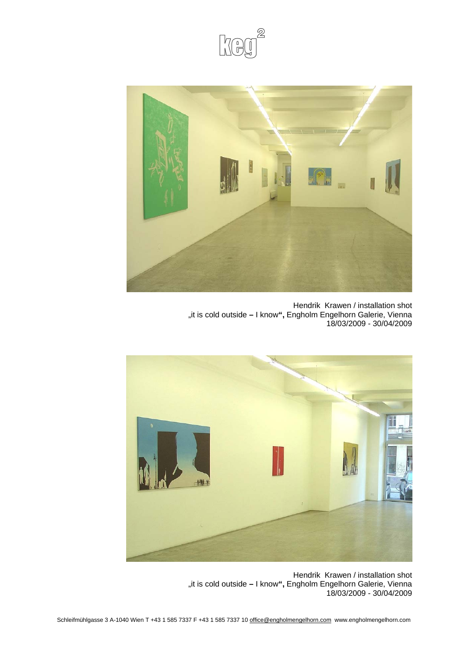



Hendrik Krawen / installation shot "it is cold outside - I know", Engholm Engelhorn Galerie, Vienna 18/03/2009 - 30/04/2009



Hendrik Krawen / installation shot "it is cold outside - I know", Engholm Engelhorn Galerie, Vienna 18/03/2009 - 30/04/2009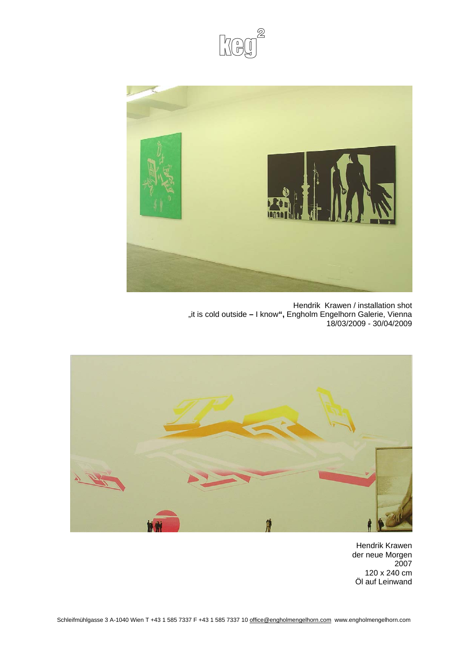



Hendrik Krawen / installation shot "it is cold outside - I know", Engholm Engelhorn Galerie, Vienna 18/03/2009 - 30/04/2009



Hendrik Krawen der neue Morgen 2007 120 x 240 cm Öl auf Leinwand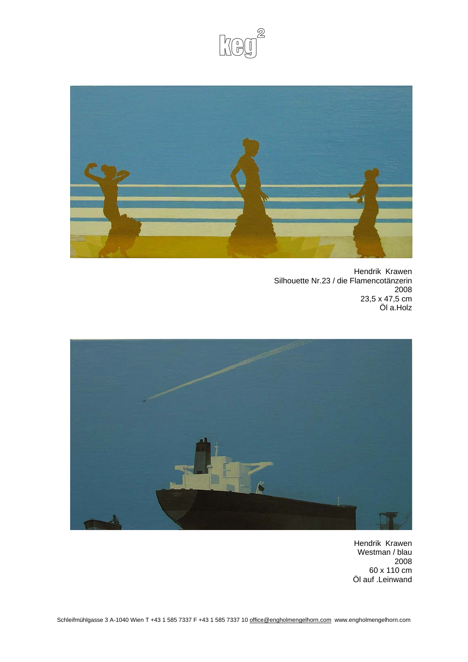



Hendrik Krawen Silhouette Nr.23 / die Flamencotänzerin 2008 23,5 x 47,5 cm Öl a.Holz



Hendrik Krawen Westman / blau 2008 60 x 110 cm Öl auf .Leinwand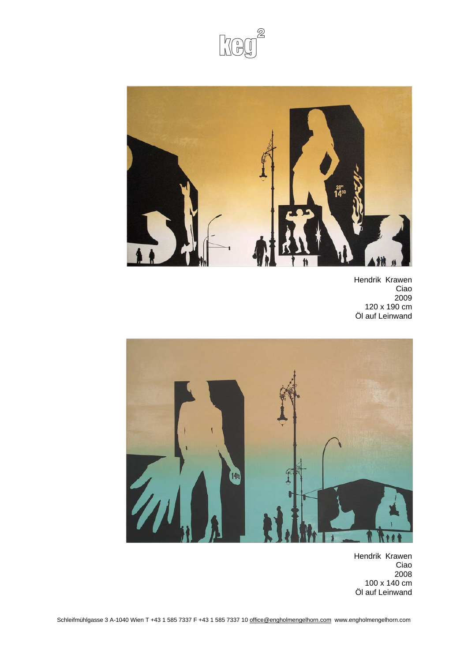



Hendrik Krawen Ciao 2009 120 x 190 cm Öl auf Leinwand



Hendrik Krawen Ciao 2008 100 x 140 cm Öl auf Leinwand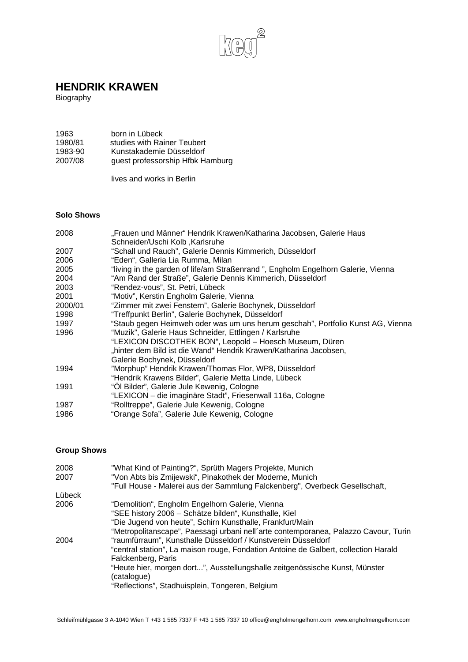

# **HENDRIK KRAWEN**

Biography

| 1963    | born in Lübeck                   |
|---------|----------------------------------|
| 1980/81 | studies with Rainer Teubert      |
| 1983-90 | Kunstakademie Düsseldorf         |
| 2007/08 | guest professorship Hfbk Hamburg |

lives and works in Berlin

#### **Solo Shows**

| 2008    | "Frauen und Männer" Hendrik Krawen/Katharina Jacobsen, Galerie Haus<br>Schneider/Uschi Kolb, Karlsruhe |
|---------|--------------------------------------------------------------------------------------------------------|
| 2007    | "Schall und Rauch", Galerie Dennis Kimmerich, Düsseldorf                                               |
| 2006    | "Eden", Galleria Lia Rumma, Milan                                                                      |
| 2005    | "living in the garden of life/am Straßenrand", Engholm Engelhorn Galerie, Vienna                       |
| 2004    | "Am Rand der Straße", Galerie Dennis Kimmerich, Düsseldorf                                             |
| 2003    | "Rendez-vous", St. Petri, Lübeck                                                                       |
| 2001    | "Motiv", Kerstin Engholm Galerie, Vienna                                                               |
| 2000/01 | "Zimmer mit zwei Fenstern", Galerie Bochynek, Düsseldorf                                               |
| 1998    | "Treffpunkt Berlin", Galerie Bochynek, Düsseldorf                                                      |
| 1997    | "Staub gegen Heimweh oder was um uns herum geschah", Portfolio Kunst AG, Vienna                        |
| 1996    | "Muzik", Galerie Haus Schneider, Ettlingen / Karlsruhe                                                 |
|         | "LEXICON DISCOTHEK BON", Leopold - Hoesch Museum, Düren                                                |
|         | "hinter dem Bild ist die Wand" Hendrik Krawen/Katharina Jacobsen,                                      |
|         | Galerie Bochynek, Düsseldorf                                                                           |
| 1994    | "Morphup" Hendrik Krawen/Thomas Flor, WP8, Düsseldorf                                                  |
|         | "Hendrik Krawens Bilder", Galerie Metta Linde, Lübeck                                                  |
| 1991    | "Öl Bilder", Galerie Jule Kewenig, Cologne                                                             |
|         | "LEXICON - die imaginäre Stadt", Friesenwall 116a, Cologne                                             |
| 1987    | "Rolltreppe", Galerie Jule Kewenig, Cologne                                                            |
| 1986    | "Orange Sofa", Galerie Jule Kewenig, Cologne                                                           |

### **Group Shows**

| 2008   | "What Kind of Painting?", Sprüth Magers Projekte, Munich                            |
|--------|-------------------------------------------------------------------------------------|
| 2007   | "Von Abts bis Zmijewski", Pinakothek der Moderne, Munich                            |
|        | "Full House - Malerei aus der Sammlung Falckenberg", Overbeck Gesellschaft,         |
| Lübeck |                                                                                     |
| 2006   | "Demolition", Engholm Engelhorn Galerie, Vienna                                     |
|        | "SEE history 2006 - Schätze bilden", Kunsthalle, Kiel                               |
|        | "Die Jugend von heute", Schirn Kunsthalle, Frankfurt/Main                           |
|        | "Metropolitanscape", Paessagi urbani nell'arte contemporanea, Palazzo Cavour, Turin |
| 2004   | "raumfürraum", Kunsthalle Düsseldorf / Kunstverein Düsseldorf                       |
|        | "central station", La maison rouge, Fondation Antoine de Galbert, collection Harald |
|        | Falckenberg, Paris                                                                  |
|        | "Heute hier, morgen dort", Ausstellungshalle zeitgenössische Kunst, Münster         |
|        | (catalogue)                                                                         |
|        | "Reflections", Stadhuisplein, Tongeren, Belgium                                     |
|        |                                                                                     |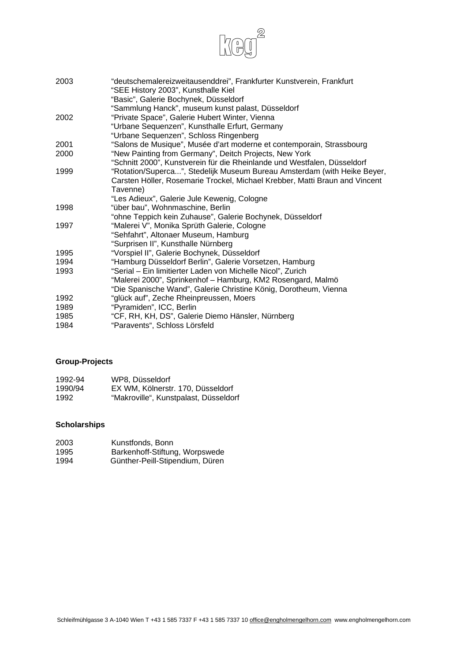

| 2003 | "deutschemalereizweitausenddrei", Frankfurter Kunstverein, Frankfurt<br>"SEE History 2003", Kunsthalle Kiel |
|------|-------------------------------------------------------------------------------------------------------------|
|      | "Basic", Galerie Bochynek, Düsseldorf                                                                       |
|      | "Sammlung Hanck", museum kunst palast, Düsseldorf                                                           |
| 2002 | "Private Space", Galerie Hubert Winter, Vienna                                                              |
|      | "Urbane Sequenzen", Kunsthalle Erfurt, Germany                                                              |
|      | "Urbane Sequenzen", Schloss Ringenberg                                                                      |
| 2001 | "Salons de Musique", Musée d'art moderne et contemporain, Strassbourg                                       |
| 2000 | "New Painting from Germany", Deitch Projects, New York                                                      |
|      | "Schnitt 2000", Kunstverein für die Rheinlande und Westfalen, Düsseldorf                                    |
| 1999 | "Rotation/Superca", Stedelijk Museum Bureau Amsterdam (with Heike Beyer,                                    |
|      | Carsten Höller, Rosemarie Trockel, Michael Krebber, Matti Braun and Vincent                                 |
|      | Tavenne)                                                                                                    |
|      | "Les Adieux", Galerie Jule Kewenig, Cologne                                                                 |
| 1998 | "über bau", Wohnmaschine, Berlin                                                                            |
|      | "ohne Teppich kein Zuhause", Galerie Bochynek, Düsseldorf                                                   |
| 1997 | "Malerei V", Monika Sprüth Galerie, Cologne                                                                 |
|      | "Sehfahrt", Altonaer Museum, Hamburg                                                                        |
|      | "Surprisen II", Kunsthalle Nürnberg                                                                         |
| 1995 | "Vorspiel II", Galerie Bochynek, Düsseldorf                                                                 |
| 1994 | "Hamburg Düsseldorf Berlin", Galerie Vorsetzen, Hamburg                                                     |
| 1993 | "Serial - Ein limitierter Laden von Michelle Nicol", Zurich                                                 |
|      | "Malerei 2000", Sprinkenhof - Hamburg, KM2 Rosengard, Malmö                                                 |
|      | "Die Spanische Wand", Galerie Christine König, Dorotheum, Vienna                                            |
| 1992 | "glück auf", Zeche Rheinpreussen, Moers                                                                     |
| 1989 | "Pyramiden", ICC, Berlin                                                                                    |
| 1985 | "CF, RH, KH, DS", Galerie Diemo Hänsler, Nürnberg                                                           |
| 1984 | "Paravents", Schloss Lörsfeld                                                                               |

# **Group-Projects**

| 1992-94 | WP8, Düsseldorf                       |
|---------|---------------------------------------|
| 1990/94 | EX WM. Kölnerstr. 170. Düsseldorf     |
| 1992    | "Makroville", Kunstpalast, Düsseldorf |

### **Scholarships**

| 2003 | Kunstfonds, Bonn                |
|------|---------------------------------|
| 1995 | Barkenhoff-Stiftung, Worpswede  |
| 1994 | Günther-Peill-Stipendium, Düren |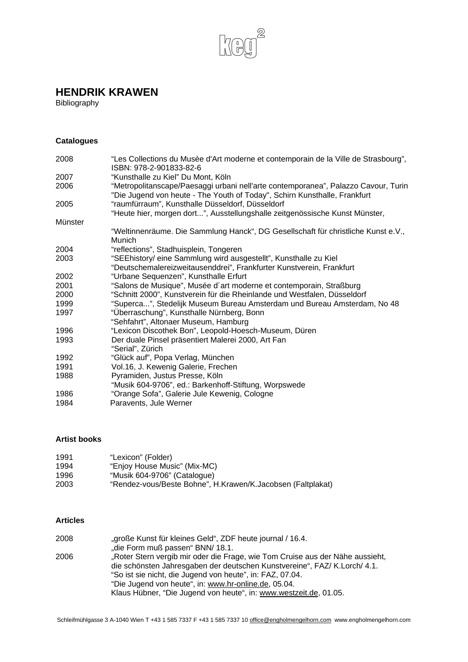

# **HENDRIK KRAWEN**

Bibliography

# **Catalogues**

| 2008    | "Les Collections du Musèe d'Art moderne et contemporain de la Ville de Strasbourg",<br>ISBN: 978-2-901833-82-6                                                  |
|---------|-----------------------------------------------------------------------------------------------------------------------------------------------------------------|
| 2007    | "Kunsthalle zu Kiel" Du Mont, Köln                                                                                                                              |
| 2006    | "Metropolitanscape/Paesaggi urbani nell'arte contemporanea", Palazzo Cavour, Turin<br>"Die Jugend von heute - The Youth of Today", Schirn Kunsthalle, Frankfurt |
| 2005    | "raumfürraum", Kunsthalle Düsseldorf, Düsseldorf                                                                                                                |
|         | "Heute hier, morgen dort", Ausstellungshalle zeitgenössische Kunst Münster,                                                                                     |
| Münster |                                                                                                                                                                 |
|         | "Weltinnenräume. Die Sammlung Hanck", DG Gesellschaft für christliche Kunst e.V.,<br>Munich                                                                     |
| 2004    | "reflections", Stadhuisplein, Tongeren                                                                                                                          |
| 2003    | "SEEhistory/ eine Sammlung wird ausgestellt", Kunsthalle zu Kiel                                                                                                |
|         | "Deutschemalereizweitausenddrei", Frankfurter Kunstverein, Frankfurt                                                                                            |
| 2002    | "Urbane Sequenzen", Kunsthalle Erfurt                                                                                                                           |
| 2001    | "Salons de Musique", Musée d'art moderne et contemporain, Straßburg                                                                                             |
| 2000    | "Schnitt 2000", Kunstverein für die Rheinlande und Westfalen, Düsseldorf                                                                                        |
| 1999    | "Superca", Stedelijk Museum Bureau Amsterdam und Bureau Amsterdam, No 48                                                                                        |
| 1997    | "Überraschung", Kunsthalle Nürnberg, Bonn                                                                                                                       |
|         | "Sehfahrt", Altonaer Museum, Hamburg                                                                                                                            |
| 1996    | "Lexicon Discothek Bon", Leopold-Hoesch-Museum, Düren                                                                                                           |
| 1993    | Der duale Pinsel präsentiert Malerei 2000, Art Fan<br>"Serial", Zürich                                                                                          |
| 1992    | "Glück auf", Popa Verlag, München                                                                                                                               |
| 1991    | Vol.16, J. Kewenig Galerie, Frechen                                                                                                                             |
| 1988    | Pyramiden, Justus Presse, Köln<br>"Musik 604-9706", ed.: Barkenhoff-Stiftung, Worpswede                                                                         |
| 1986    | "Orange Sofa", Galerie Jule Kewenig, Cologne                                                                                                                    |
| 1984    | Paravents, Jule Werner                                                                                                                                          |

#### **Artist books**

| 1991 | "Lexicon" (Folder)                                          |
|------|-------------------------------------------------------------|
| 1994 | "Enjoy House Music" (Mix-MC)                                |
| 1996 | "Musik 604-9706" (Catalogue)                                |
| 2003 | "Rendez-vous/Beste Bohne", H.Krawen/K.Jacobsen (Faltplakat) |

#### **Articles**

| "große Kunst für kleines Geld", ZDF heute journal / 16.4.                     |
|-------------------------------------------------------------------------------|
| "die Form muß passen" BNN/ 18.1.                                              |
| "Roter Stern vergib mir oder die Frage, wie Tom Cruise aus der Nähe aussieht, |
| die schönsten Jahresgaben der deutschen Kunstvereine", FAZ/ K.Lorch/ 4.1.     |
| "So ist sie nicht, die Jugend von heute", in: FAZ, 07.04.                     |
| "Die Jugend von heute", in: www.hr-online.de, 05.04.                          |
| Klaus Hübner, "Die Jugend von heute", in: www.westzeit.de, 01.05.             |
|                                                                               |